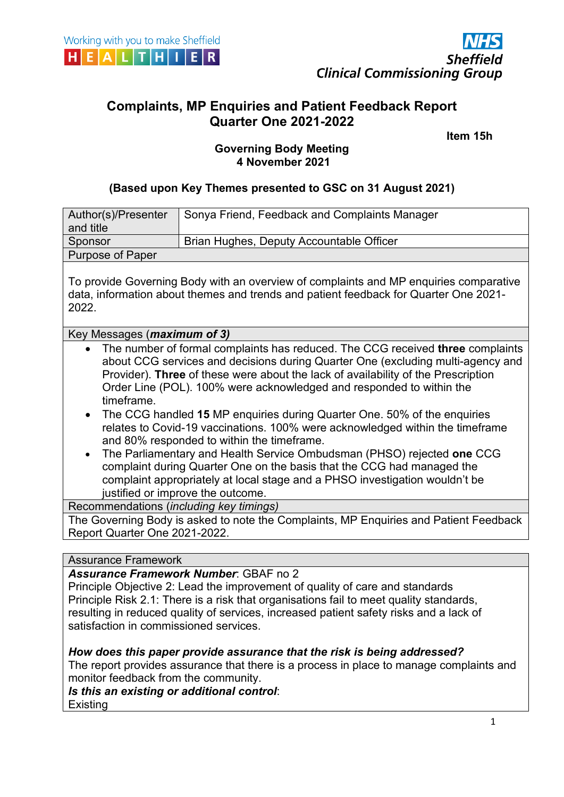

# **Complaints, MP Enquiries and Patient Feedback Report Quarter One 2021-2022**

المساوي المساوي المساوي المساوي المساوي المساوي المساوي المساوي المساوي المساوي المساوي المساوي المساوي المساو

## **Governing Body Meeting 4 November 2021**

#### **(Based upon Key Themes presented to GSC on 31 August 2021)**

| Author(s)/Presenter<br>and title                                                                                                                                                                                                                                                                                                                                                                                                                                                                                                                                                                                                                                                                                                                                                                                                                    | Sonya Friend, Feedback and Complaints Manager |  |
|-----------------------------------------------------------------------------------------------------------------------------------------------------------------------------------------------------------------------------------------------------------------------------------------------------------------------------------------------------------------------------------------------------------------------------------------------------------------------------------------------------------------------------------------------------------------------------------------------------------------------------------------------------------------------------------------------------------------------------------------------------------------------------------------------------------------------------------------------------|-----------------------------------------------|--|
| Sponsor                                                                                                                                                                                                                                                                                                                                                                                                                                                                                                                                                                                                                                                                                                                                                                                                                                             | Brian Hughes, Deputy Accountable Officer      |  |
| Purpose of Paper                                                                                                                                                                                                                                                                                                                                                                                                                                                                                                                                                                                                                                                                                                                                                                                                                                    |                                               |  |
| To provide Governing Body with an overview of complaints and MP enquiries comparative<br>data, information about themes and trends and patient feedback for Quarter One 2021-<br>2022.                                                                                                                                                                                                                                                                                                                                                                                                                                                                                                                                                                                                                                                              |                                               |  |
| Key Messages ( <i>maximum of 3</i> )                                                                                                                                                                                                                                                                                                                                                                                                                                                                                                                                                                                                                                                                                                                                                                                                                |                                               |  |
| The number of formal complaints has reduced. The CCG received <b>three</b> complaints<br>about CCG services and decisions during Quarter One (excluding multi-agency and<br>Provider). Three of these were about the lack of availability of the Prescription<br>Order Line (POL). 100% were acknowledged and responded to within the<br>timeframe.<br>The CCG handled 15 MP enquiries during Quarter One. 50% of the enquiries<br>relates to Covid-19 vaccinations. 100% were acknowledged within the timeframe<br>and 80% responded to within the timeframe.<br>The Parliamentary and Health Service Ombudsman (PHSO) rejected one CCG<br>$\bullet$<br>complaint during Quarter One on the basis that the CCG had managed the<br>complaint appropriately at local stage and a PHSO investigation wouldn't be<br>justified or improve the outcome. |                                               |  |
| Recommendations (including key timings)                                                                                                                                                                                                                                                                                                                                                                                                                                                                                                                                                                                                                                                                                                                                                                                                             |                                               |  |
| The Governing Body is asked to note the Complaints, MP Enquiries and Patient Feedback<br>Report Quarter One 2021-2022.                                                                                                                                                                                                                                                                                                                                                                                                                                                                                                                                                                                                                                                                                                                              |                                               |  |
| Accurance Eramowerk                                                                                                                                                                                                                                                                                                                                                                                                                                                                                                                                                                                                                                                                                                                                                                                                                                 |                                               |  |

#### Assurance Framework

## *Assurance Framework Number*: GBAF no 2

Principle Objective 2: Lead the improvement of quality of care and standards Principle Risk 2.1: There is a risk that organisations fail to meet quality standards, resulting in reduced quality of services, increased patient safety risks and a lack of satisfaction in commissioned services.

#### *How does this paper provide assurance that the risk is being addressed?*

The report provides assurance that there is a process in place to manage complaints and monitor feedback from the community.

#### *Is this an existing or additional control*:

**Existing**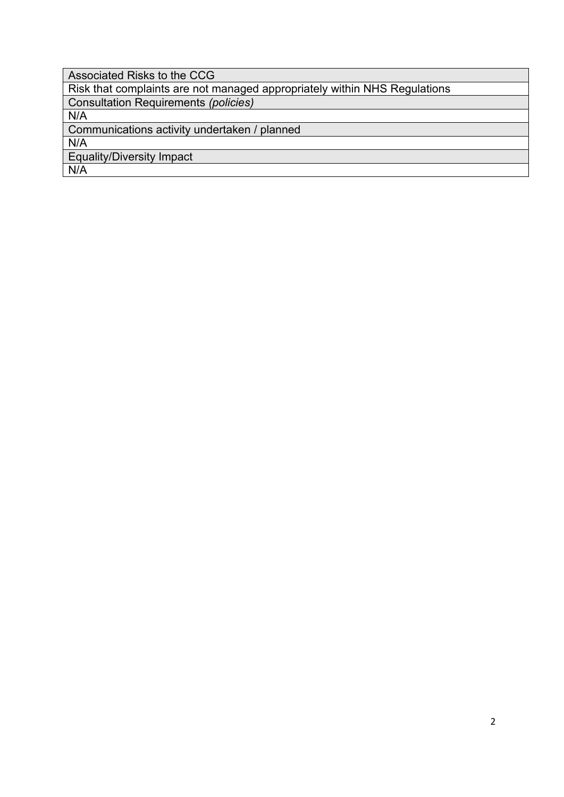Associated Risks to the CCG Risk that complaints are not managed appropriately within NHS Regulations Consultation Requirements *(policies)* N/A Communications activity undertaken / planned N/A Equality/Diversity Impact N/A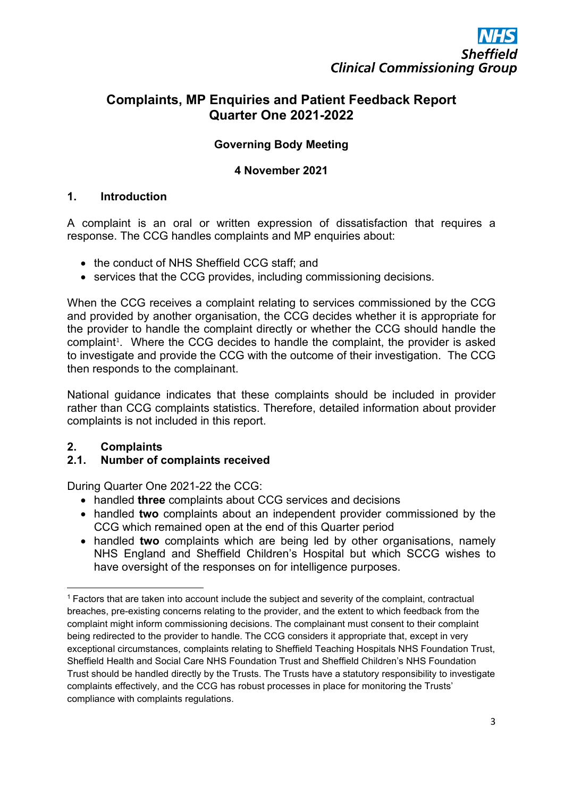# **Complaints, MP Enquiries and Patient Feedback Report Quarter One 2021-2022**

## **Governing Body Meeting**

#### **4 November 2021**

#### **1. Introduction**

A complaint is an oral or written expression of dissatisfaction that requires a response. The CCG handles complaints and MP enquiries about:

- the conduct of NHS Sheffield CCG staff; and
- services that the CCG provides, including commissioning decisions.

When the CCG receives a complaint relating to services commissioned by the CCG and provided by another organisation, the CCG decides whether it is appropriate for the provider to handle the complaint directly or whether the CCG should handle the complaint<sup>[1](#page-2-0)</sup>. Where the CCG decides to handle the complaint, the provider is asked to investigate and provide the CCG with the outcome of their investigation. The CCG then responds to the complainant.

National guidance indicates that these complaints should be included in provider rather than CCG complaints statistics. Therefore, detailed information about provider complaints is not included in this report.

## **2. Complaints**

#### **2.1. Number of complaints received**

During Quarter One 2021-22 the CCG:

- handled **three** complaints about CCG services and decisions
- handled **two** complaints about an independent provider commissioned by the CCG which remained open at the end of this Quarter period
- handled **two** complaints which are being led by other organisations, namely NHS England and Sheffield Children's Hospital but which SCCG wishes to have oversight of the responses on for intelligence purposes.

<span id="page-2-0"></span><sup>1</sup> Factors that are taken into account include the subject and severity of the complaint, contractual breaches, pre-existing concerns relating to the provider, and the extent to which feedback from the complaint might inform commissioning decisions. The complainant must consent to their complaint being redirected to the provider to handle. The CCG considers it appropriate that, except in very exceptional circumstances, complaints relating to Sheffield Teaching Hospitals NHS Foundation Trust, Sheffield Health and Social Care NHS Foundation Trust and Sheffield Children's NHS Foundation Trust should be handled directly by the Trusts. The Trusts have a statutory responsibility to investigate complaints effectively, and the CCG has robust processes in place for monitoring the Trusts' compliance with complaints regulations.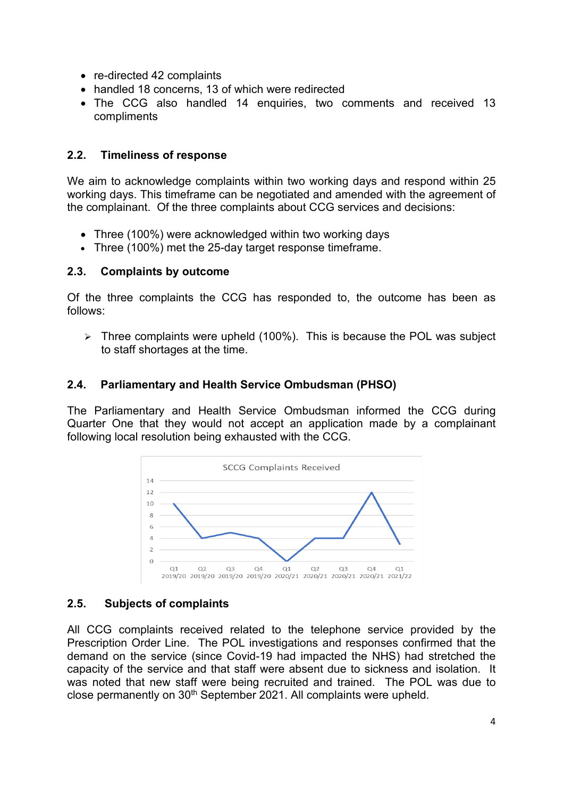- re-directed 42 complaints
- handled 18 concerns, 13 of which were redirected
- The CCG also handled 14 enquiries, two comments and received 13 compliments

#### **2.2. Timeliness of response**

We aim to acknowledge complaints within two working days and respond within 25 working days. This timeframe can be negotiated and amended with the agreement of the complainant. Of the three complaints about CCG services and decisions:

- Three (100%) were acknowledged within two working days
- Three (100%) met the 25-day target response timeframe.

#### **2.3. Complaints by outcome**

Of the three complaints the CCG has responded to, the outcome has been as follows:

 $\triangleright$  Three complaints were upheld (100%). This is because the POL was subject to staff shortages at the time.

#### **2.4. Parliamentary and Health Service Ombudsman (PHSO)**

The Parliamentary and Health Service Ombudsman informed the CCG during Quarter One that they would not accept an application made by a complainant following local resolution being exhausted with the CCG.



## **2.5. Subjects of complaints**

All CCG complaints received related to the telephone service provided by the Prescription Order Line. The POL investigations and responses confirmed that the demand on the service (since Covid-19 had impacted the NHS) had stretched the capacity of the service and that staff were absent due to sickness and isolation. It was noted that new staff were being recruited and trained. The POL was due to close permanently on 30<sup>th</sup> September 2021. All complaints were upheld.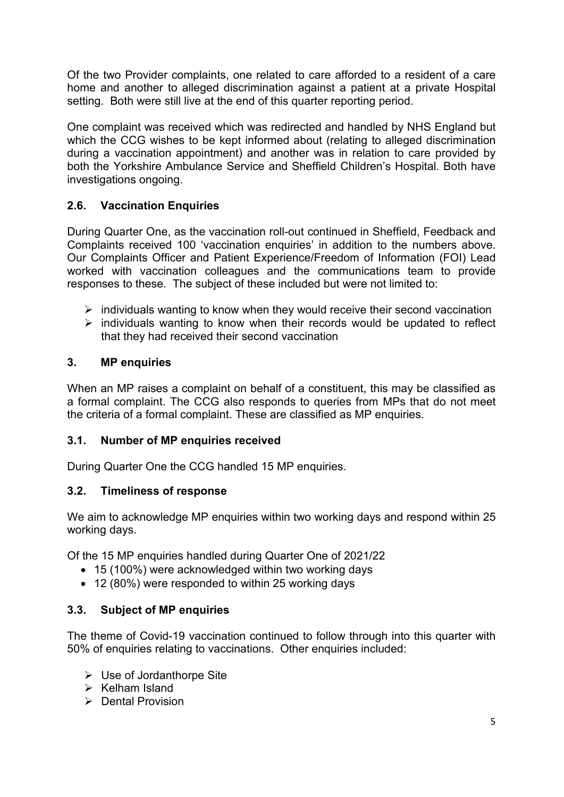Of the two Provider complaints, one related to care afforded to a resident of a care home and another to alleged discrimination against a patient at a private Hospital setting. Both were still live at the end of this quarter reporting period.

One complaint was received which was redirected and handled by NHS England but which the CCG wishes to be kept informed about (relating to alleged discrimination during a vaccination appointment) and another was in relation to care provided by both the Yorkshire Ambulance Service and Sheffield Children's Hospital. Both have investigations ongoing.

## **2.6. Vaccination Enquiries**

During Quarter One, as the vaccination roll-out continued in Sheffield, Feedback and Complaints received 100 'vaccination enquiries' in addition to the numbers above. Our Complaints Officer and Patient Experience/Freedom of Information (FOI) Lead worked with vaccination colleagues and the communications team to provide responses to these. The subject of these included but were not limited to:

- $\triangleright$  individuals wanting to know when they would receive their second vaccination
- $\triangleright$  individuals wanting to know when their records would be updated to reflect that they had received their second vaccination

## **3. MP enquiries**

When an MP raises a complaint on behalf of a constituent, this may be classified as a formal complaint. The CCG also responds to queries from MPs that do not meet the criteria of a formal complaint. These are classified as MP enquiries.

#### **3.1. Number of MP enquiries received**

During Quarter One the CCG handled 15 MP enquiries.

## **3.2. Timeliness of response**

We aim to acknowledge MP enquiries within two working days and respond within 25 working days.

Of the 15 MP enquiries handled during Quarter One of 2021/22

- 15 (100%) were acknowledged within two working days
- 12 (80%) were responded to within 25 working days

## **3.3. Subject of MP enquiries**

The theme of Covid-19 vaccination continued to follow through into this quarter with 50% of enquiries relating to vaccinations. Other enquiries included:

- $\triangleright$  Use of Jordanthorpe Site
- $\triangleright$  Kelham Island
- $\triangleright$  Dental Provision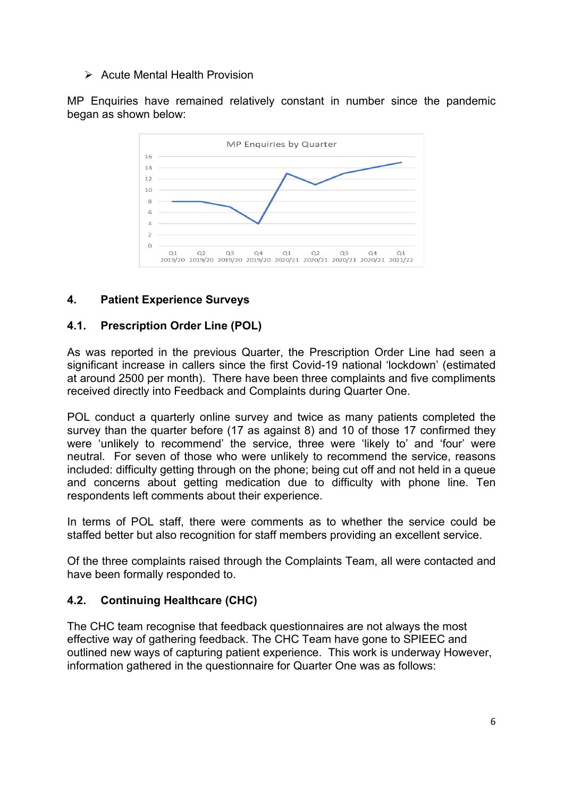#### $\triangleright$  Acute Mental Health Provision

MP Enquiries have remained relatively constant in number since the pandemic began as shown below:



## **4. Patient Experience Surveys**

## **4.1. Prescription Order Line (POL)**

As was reported in the previous Quarter, the Prescription Order Line had seen a significant increase in callers since the first Covid-19 national 'lockdown' (estimated at around 2500 per month). There have been three complaints and five compliments received directly into Feedback and Complaints during Quarter One.

POL conduct a quarterly online survey and twice as many patients completed the survey than the quarter before (17 as against 8) and 10 of those 17 confirmed they were 'unlikely to recommend' the service, three were 'likely to' and 'four' were neutral. For seven of those who were unlikely to recommend the service, reasons included: difficulty getting through on the phone; being cut off and not held in a queue and concerns about getting medication due to difficulty with phone line. Ten respondents left comments about their experience.

In terms of POL staff, there were comments as to whether the service could be staffed better but also recognition for staff members providing an excellent service.

Of the three complaints raised through the Complaints Team, all were contacted and have been formally responded to.

## **4.2. Continuing Healthcare (CHC)**

The CHC team recognise that feedback questionnaires are not always the most effective way of gathering feedback. The CHC Team have gone to SPIEEC and outlined new ways of capturing patient experience. This work is underway However, information gathered in the questionnaire for Quarter One was as follows: